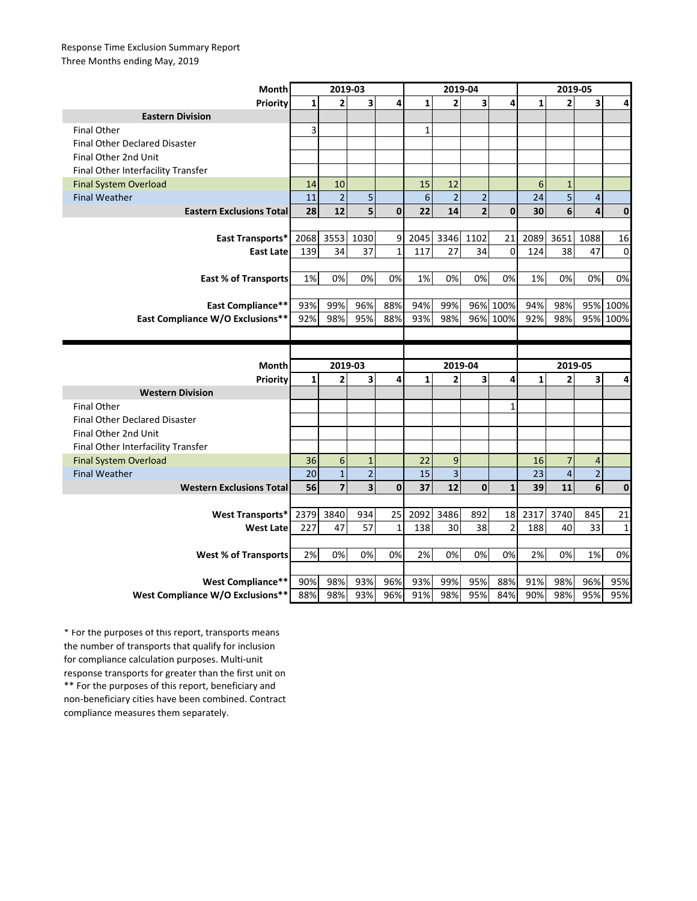## Response Time Exclusion Summary Report Three Months ending May, 2019

| Month                                                        | 2019-03      |                         |                         |              | 2019-04      |                         |                |                | 2019-05      |                |                         |              |
|--------------------------------------------------------------|--------------|-------------------------|-------------------------|--------------|--------------|-------------------------|----------------|----------------|--------------|----------------|-------------------------|--------------|
| <b>Priority</b>                                              | $\mathbf{1}$ | $\overline{2}$          | 3                       | 4            | $\mathbf{1}$ | $\overline{2}$          | 3              | 4              | $\mathbf{1}$ | $\overline{2}$ | 3                       | 4            |
| <b>Eastern Division</b>                                      |              |                         |                         |              |              |                         |                |                |              |                |                         |              |
| <b>Final Other</b>                                           | 3            |                         |                         |              | $\mathbf{1}$ |                         |                |                |              |                |                         |              |
| <b>Final Other Declared Disaster</b>                         |              |                         |                         |              |              |                         |                |                |              |                |                         |              |
| Final Other 2nd Unit                                         |              |                         |                         |              |              |                         |                |                |              |                |                         |              |
| Final Other Interfacility Transfer                           |              |                         |                         |              |              |                         |                |                |              |                |                         |              |
| <b>Final System Overload</b>                                 | 14           | 10                      |                         |              | 15           | 12                      |                |                | 6            | $\mathbf{1}$   |                         |              |
| <b>Final Weather</b>                                         | 11           | $\overline{c}$          | 5                       |              | 6            | $\overline{2}$          | $\overline{2}$ |                | 24           | 5              | $\overline{\mathbf{r}}$ |              |
| <b>Eastern Exclusions Total</b>                              | 28           | 12                      | 5                       | $\mathbf{0}$ | 22           | 14                      | $\overline{2}$ | $\mathbf{0}$   | 30           | 6              | 4                       | 0            |
|                                                              |              |                         |                         |              |              |                         |                |                |              |                |                         |              |
| East Transports*                                             | 2068         | 3553                    | 1030                    | 9            | 2045         | 3346                    | 1102           | 21             | 2089         | 3651           | 1088                    | 16           |
| <b>East Late</b>                                             | 139          | 34                      | 37                      | $\mathbf{1}$ | 117          | 27                      | 34             | 0              | 124          | 38             | 47                      | $\Omega$     |
|                                                              |              |                         |                         |              |              |                         |                |                |              |                |                         |              |
| <b>East % of Transports</b>                                  | 1%           | 0%                      | 0%                      | 0%           | 1%           | 0%                      | 0%             | 0%             | 1%           | 0%             | 0%                      | 0%           |
|                                                              |              |                         |                         |              |              |                         |                |                |              |                |                         |              |
| <b>East Compliance**</b>                                     | 93%          | 99%                     | 96%                     | 88%          | 94%          | 99%                     |                | 96% 100%       | 94%          | 98%            | 95%                     | 100%         |
| <b>East Compliance W/O Exclusions**</b>                      | 92%          | 98%                     | 95%                     | 88%          | 93%          | 98%                     |                | 96% 100%       | 92%          | 98%            | 95%                     | 100%         |
|                                                              |              |                         |                         |              |              |                         |                |                |              |                |                         |              |
|                                                              |              |                         |                         |              |              |                         |                |                |              |                |                         |              |
|                                                              |              |                         |                         |              |              |                         |                |                |              |                |                         |              |
| <b>Month</b>                                                 |              | 2019-03                 |                         |              |              | 2019-04                 |                |                |              | 2019-05        |                         |              |
| Priority                                                     | $\mathbf{1}$ | 2                       | 3                       | 4            | $\mathbf{1}$ | $\overline{2}$          | 3              | 4              | $\mathbf{1}$ | $\overline{2}$ | 3                       | 4            |
| <b>Western Division</b>                                      |              |                         |                         |              |              |                         |                |                |              |                |                         |              |
| <b>Final Other</b>                                           |              |                         |                         |              |              |                         |                | $\mathbf{1}$   |              |                |                         |              |
| <b>Final Other Declared Disaster</b>                         |              |                         |                         |              |              |                         |                |                |              |                |                         |              |
| Final Other 2nd Unit                                         |              |                         |                         |              |              |                         |                |                |              |                |                         |              |
| Final Other Interfacility Transfer                           |              |                         |                         |              |              |                         |                |                |              |                |                         |              |
| <b>Final System Overload</b>                                 | 36           | 6                       | $1\,$                   |              | 22           | 9                       |                |                | 16           | $\overline{7}$ | 4                       |              |
| <b>Final Weather</b>                                         | 20           | $\mathbf{1}$            | $\overline{2}$          |              | 15           | $\overline{\mathbf{3}}$ |                |                | 23           | $\overline{4}$ | $\overline{2}$          |              |
| <b>Western Exclusions Total</b>                              | 56           | $\overline{\mathbf{z}}$ | $\overline{\mathbf{3}}$ | $\mathbf 0$  | 37           | 12                      | $\bf{0}$       | $\mathbf{1}$   | 39           | 11             | 6                       | $\mathbf 0$  |
|                                                              |              |                         |                         |              |              |                         |                |                |              |                |                         |              |
| <b>West Transports*</b>                                      | 2379         | 3840                    | 934                     | 25           | 2092         | 3486                    | 892            | 18             | 2317         | 3740           | 845                     | 21           |
| <b>West Late</b>                                             | 227          | 47                      | 57                      | 1            | 138          | 30                      | 38             | $\overline{2}$ | 188          | 40             | 33                      | $\mathbf{1}$ |
|                                                              |              |                         |                         |              |              |                         |                |                |              |                |                         |              |
| <b>West % of Transports</b>                                  | 2%           | 0%                      | 0%                      | 0%           | 2%           | 0%                      | 0%             | 0%             | 2%           | 0%             | 1%                      | 0%           |
|                                                              |              |                         |                         |              |              |                         |                |                |              |                |                         |              |
| <b>West Compliance**</b><br>West Compliance W/O Exclusions** | 90%<br>88%   | 98%<br>98%              | 93%<br>93%              | 96%<br>96%   | 93%<br>91%   | 99%<br>98%              | 95%<br>95%     | 88%<br>84%     | 91%<br>90%   | 98%<br>98%     | 96%<br>95%              | 95%<br>95%   |

\*\* For the purposes of this report, beneficiary and non-beneficiary cities have been combined. Contract compliance measures them separately. \* For the purposes of this report, transports means the number of transports that qualify for inclusion for compliance calculation purposes. Multi-unit response transports for greater than the first unit on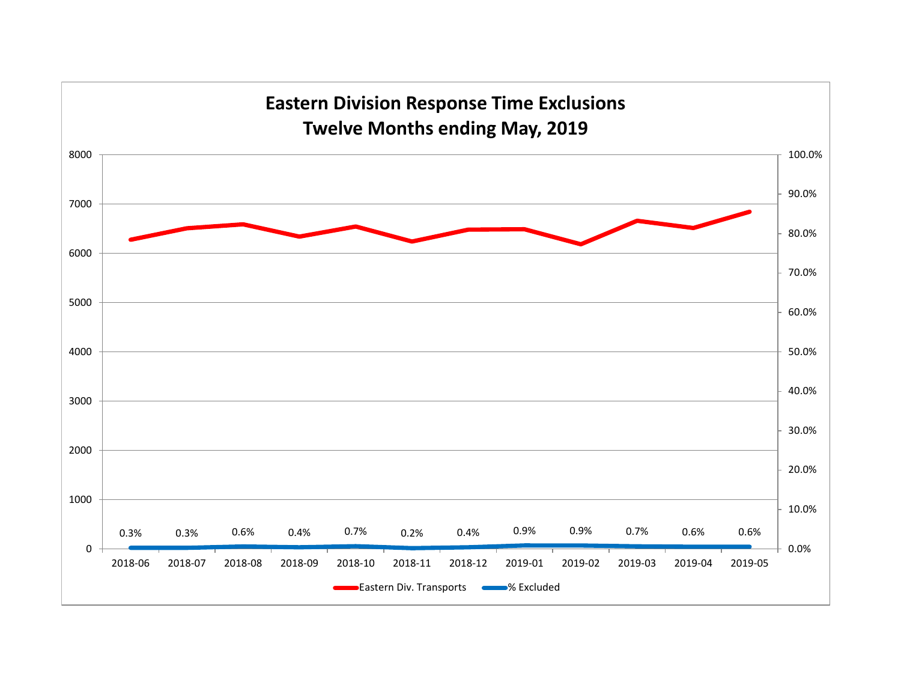